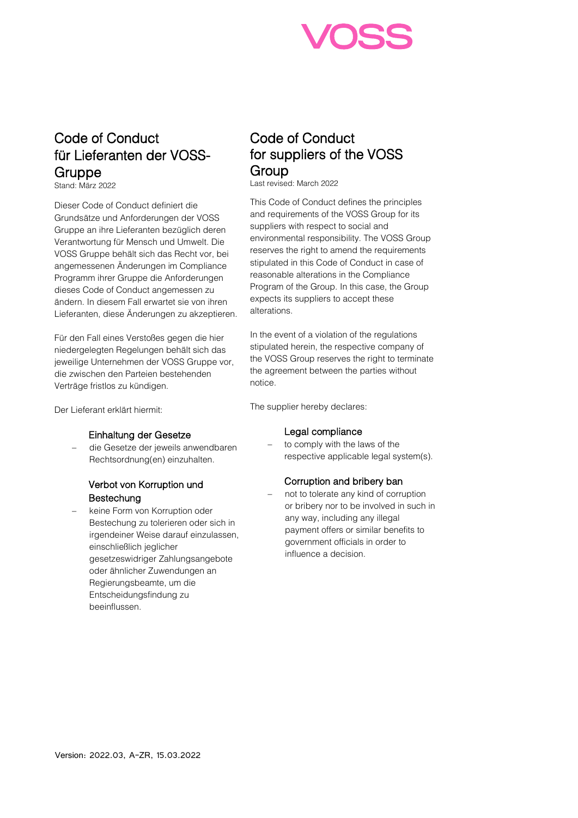

# Code of Conduct für Lieferanten der VOSS-Gruppe<br>Stand: März 2022

Dieser Code of Conduct definiert die Grundsätze und Anforderungen der VOSS Gruppe an ihre Lieferanten bezüglich deren Verantwortung für Mensch und Umwelt. Die VOSS Gruppe behält sich das Recht vor, bei angemessenen Änderungen im Compliance Programm ihrer Gruppe die Anforderungen dieses Code of Conduct angemessen zu ändern. In diesem Fall erwartet sie von ihren Lieferanten, diese Änderungen zu akzeptieren.

Für den Fall eines Verstoßes gegen die hier niedergelegten Regelungen behält sich das jeweilige Unternehmen der VOSS Gruppe vor, die zwischen den Parteien bestehenden Verträge fristlos zu kündigen.

Der Lieferant erklärt hiermit:

## Einhaltung der Gesetze

− die Gesetze der jeweils anwendbaren Rechtsordnung(en) einzuhalten.

## Verbot von Korruption und **Bestechung**

− keine Form von Korruption oder Bestechung zu tolerieren oder sich in irgendeiner Weise darauf einzulassen, einschließlich jeglicher gesetzeswidriger Zahlungsangebote oder ähnlicher Zuwendungen an Regierungsbeamte, um die Entscheidungsfindung zu beeinflussen.

# Code of Conduct for suppliers of the VOSS Group<br>Last revised: March 2022

This Code of Conduct defines the principles and requirements of the VOSS Group for its suppliers with respect to social and environmental responsibility. The VOSS Group reserves the right to amend the requirements stipulated in this Code of Conduct in case of reasonable alterations in the Compliance Program of the Group. In this case, the Group expects its suppliers to accept these alterations.

In the event of a violation of the regulations stipulated herein, the respective company of the VOSS Group reserves the right to terminate the agreement between the parties without notice.

The supplier hereby declares:

## Legal compliance

to comply with the laws of the respective applicable legal system(s).

#### Corruption and bribery ban

not to tolerate any kind of corruption or bribery nor to be involved in such in any way, including any illegal payment offers or similar benefits to government officials in order to influence a decision.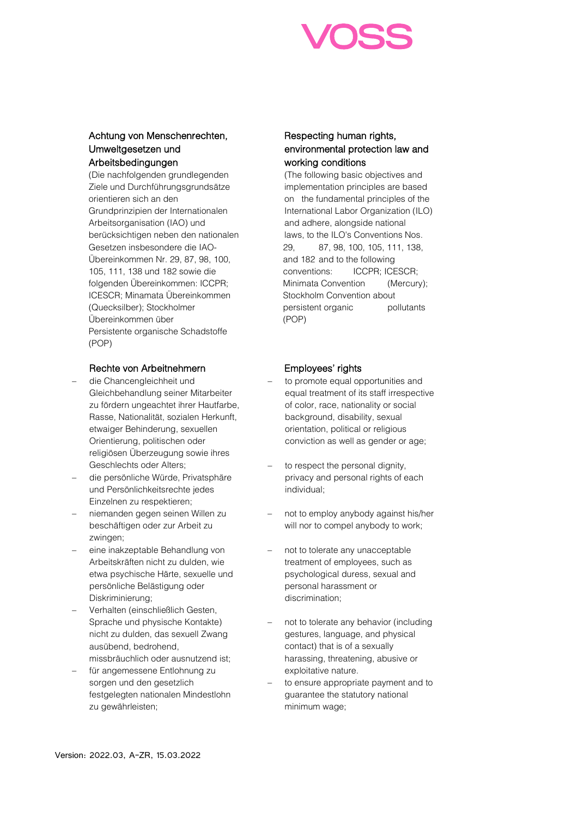

# Achtung von Menschenrechten, Umweltgesetzen und Arbeitsbedingungen

(Die nachfolgenden grundlegenden Ziele und Durchführungsgrundsätze orientieren sich an den Grundprinzipien der Internationalen Arbeitsorganisation (IAO) und berücksichtigen neben den nationalen Gesetzen insbesondere die IAO-Übereinkommen Nr. 29, 87, 98, 100, 105, 111, 138 und 182 sowie die folgenden Übereinkommen: ICCPR; ICESCR; Minamata Übereinkommen (Quecksilber); Stockholmer Übereinkommen über Persistente organische Schadstoffe (POP)

# Rechte von Arbeitnehmern

- − die Chancengleichheit und Gleichbehandlung seiner Mitarbeiter zu fördern ungeachtet ihrer Hautfarbe, Rasse, Nationalität, sozialen Herkunft, etwaiger Behinderung, sexuellen Orientierung, politischen oder religiösen Überzeugung sowie ihres Geschlechts oder Alters;
- − die persönliche Würde, Privatsphäre und Persönlichkeitsrechte jedes Einzelnen zu respektieren;
- niemanden gegen seinen Willen zu beschäftigen oder zur Arbeit zu zwingen;
- − eine inakzeptable Behandlung von Arbeitskräften nicht zu dulden, wie etwa psychische Härte, sexuelle und persönliche Belästigung oder Diskriminierung;
- − Verhalten (einschließlich Gesten, Sprache und physische Kontakte) nicht zu dulden, das sexuell Zwang ausübend, bedrohend, missbräuchlich oder ausnutzend ist;
- für angemessene Entlohnung zu sorgen und den gesetzlich festgelegten nationalen Mindestlohn zu gewährleisten;

# Respecting human rights, environmental protection law and working conditions

(The following basic objectives and implementation principles are based on the fundamental principles of the International Labor Organization (ILO) and adhere, alongside national laws, to the ILO's Conventions Nos. 29, 87, 98, 100, 105, 111, 138, and 182 and to the following conventions: ICCPR; ICESCR; Minimata Convention (Mercury); Stockholm Convention about persistent organic pollutants (POP)

# Employees' rights

- to promote equal opportunities and equal treatment of its staff irrespective of color, race, nationality or social background, disability, sexual orientation, political or religious conviction as well as gender or age;
- to respect the personal dignity, privacy and personal rights of each individual;
- not to employ anybody against his/her will nor to compel anybody to work;
- not to tolerate any unacceptable treatment of employees, such as psychological duress, sexual and personal harassment or discrimination;
- not to tolerate any behavior (including gestures, language, and physical contact) that is of a sexually harassing, threatening, abusive or exploitative nature.
- to ensure appropriate payment and to guarantee the statutory national minimum wage;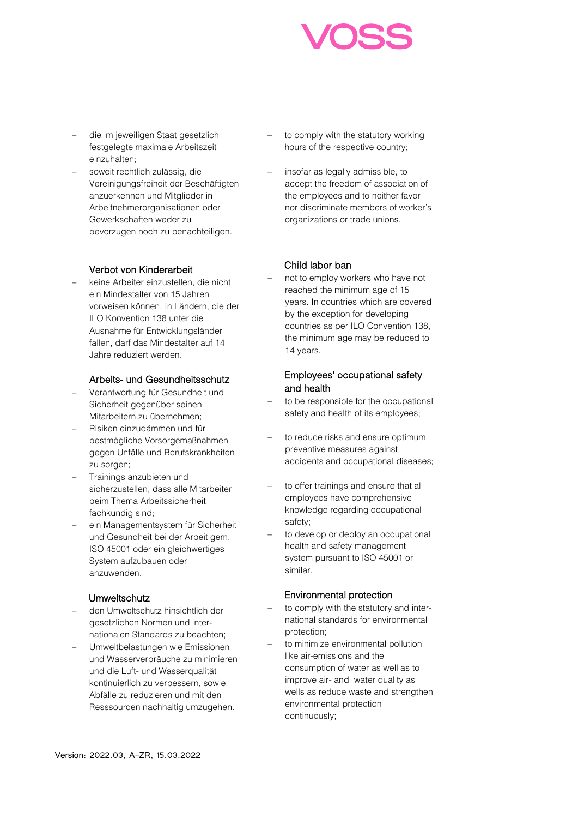

- − die im jeweiligen Staat gesetzlich festgelegte maximale Arbeitszeit einzuhalten;
- soweit rechtlich zulässig, die Vereinigungsfreiheit der Beschäftigten anzuerkennen und Mitglieder in Arbeitnehmerorganisationen oder Gewerkschaften weder zu bevorzugen noch zu benachteiligen.

## Verbot von Kinderarbeit

− keine Arbeiter einzustellen, die nicht ein Mindestalter von 15 Jahren vorweisen können. In Ländern, die der ILO Konvention 138 unter die Ausnahme für Entwicklungsländer fallen, darf das Mindestalter auf 14 Jahre reduziert werden.

## Arbeits- und Gesundheitsschutz

- − Verantwortung für Gesundheit und Sicherheit gegenüber seinen Mitarbeitern zu übernehmen;
- − Risiken einzudämmen und für bestmögliche Vorsorgemaßnahmen gegen Unfälle und Berufskrankheiten zu sorgen;
- − Trainings anzubieten und sicherzustellen, dass alle Mitarbeiter beim Thema Arbeitssicherheit fachkundig sind;
- − ein Managementsystem für Sicherheit und Gesundheit bei der Arbeit gem. ISO 45001 oder ein gleichwertiges System aufzubauen oder anzuwenden.

## Umweltschutz

- − den Umweltschutz hinsichtlich der gesetzlichen Normen und internationalen Standards zu beachten;
- − Umweltbelastungen wie Emissionen und Wasserverbräuche zu minimieren und die Luft- und Wasserqualität kontinuierlich zu verbessern, sowie Abfälle zu reduzieren und mit den Resssourcen nachhaltig umzugehen.
- to comply with the statutory working hours of the respective country;
- insofar as legally admissible, to accept the freedom of association of the employees and to neither favor nor discriminate members of worker's organizations or trade unions.

## Child labor ban

not to employ workers who have not reached the minimum age of 15 years. In countries which are covered by the exception for developing countries as per ILO Convention 138, the minimum age may be reduced to 14 years.

# Employees' occupational safety and health

- to be responsible for the occupational safety and health of its employees;
- to reduce risks and ensure optimum preventive measures against accidents and occupational diseases;
- to offer trainings and ensure that all employees have comprehensive knowledge regarding occupational safety;
- to develop or deploy an occupational health and safety management system pursuant to ISO 45001 or similar.

## Environmental protection

- to comply with the statutory and international standards for environmental protection;
- to minimize environmental pollution like air-emissions and the consumption of water as well as to improve air- and water quality as wells as reduce waste and strengthen environmental protection continuously;